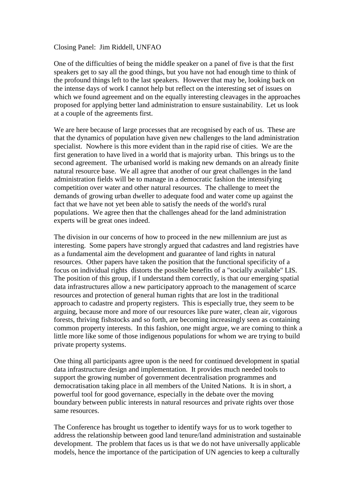## Closing Panel: Jim Riddell, UNFAO

One of the difficulties of being the middle speaker on a panel of five is that the first speakers get to say all the good things, but you have not had enough time to think of the profound things left to the last speakers. However that may be, looking back on the intense days of work I cannot help but reflect on the interesting set of issues on which we found agreement and on the equally interesting cleavages in the approaches proposed for applying better land administration to ensure sustainability. Let us look at a couple of the agreements first.

We are here because of large processes that are recognised by each of us. These are that the dynamics of population have given new challenges to the land administration specialist. Nowhere is this more evident than in the rapid rise of cities. We are the first generation to have lived in a world that is majority urban. This brings us to the second agreement. The urbanised world is making new demands on an already finite natural resource base. We all agree that another of our great challenges in the land administration fields will be to manage in a democratic fashion the intensifying competition over water and other natural resources. The challenge to meet the demands of growing urban dweller to adequate food and water come up against the fact that we have not yet been able to satisfy the needs of the world's rural populations. We agree then that the challenges ahead for the land administration experts will be great ones indeed.

The division in our concerns of how to proceed in the new millennium are just as interesting. Some papers have strongly argued that cadastres and land registries have as a fundamental aim the development and guarantee of land rights in natural resources. Other papers have taken the position that the functional specificity of a focus on individual rights distorts the possible benefits of a "socially available" LIS. The position of this group, if I understand them correctly, is that our emerging spatial data infrastructures allow a new participatory approach to the management of scarce resources and protection of general human rights that are lost in the traditional approach to cadastre and property registers. This is especially true, they seem to be arguing, because more and more of our resources like pure water, clean air, vigorous forests, thriving fishstocks and so forth, are becoming increasingly seen as containing common property interests. In this fashion, one might argue, we are coming to think a little more like some of those indigenous populations for whom we are trying to build private property systems.

One thing all participants agree upon is the need for continued development in spatial data infrastructure design and implementation. It provides much needed tools to support the growing number of government decentralisation programmes and democratisation taking place in all members of the United Nations. It is in short, a powerful tool for good governance, especially in the debate over the moving boundary between public interests in natural resources and private rights over those same resources.

The Conference has brought us together to identify ways for us to work together to address the relationship between good land tenure/land administration and sustainable development. The problem that faces us is that we do not have universally applicable models, hence the importance of the participation of UN agencies to keep a culturally